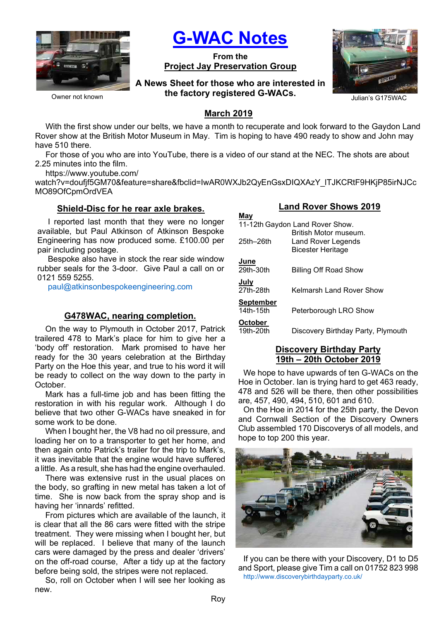

Owner not known

G-WAC Notes

From the Project Jay Preservation Group

A News Sheet for those who are interested in the factory registered G-WACs. Julian's G175WAC



#### March 2019

With the first show under our belts, we have a month to recuperate and look forward to the Gaydon Land Rover show at the British Motor Museum in May. Tim is hoping to have 490 ready to show and John may have 510 there.

For those of you who are into YouTube, there is a video of our stand at the NEC. The shots are about 2.25 minutes into the film.

https://www.youtube.com/

watch?v=doufjf5GM70&feature=share&fbclid=IwAR0WXJb2QyEnGsxDIQXAzY\_ITJKCRtF9HKjP85irNJCc MO89OfCpmOrdVEA

May

#### Shield-Disc for he rear axle brakes.

I reported last month that they were no longer available, but Paul Atkinson of Atkinson Bespoke Engineering has now produced some. £100.00 per pair including postage.

Bespoke also have in stock the rear side window rubber seals for the 3-door. Give Paul a call on or 0121 559 5255.

paul@atkinsonbespokeengineering.com

### G478WAC, nearing completion.

On the way to Plymouth in October 2017, Patrick trailered 478 to Mark's place for him to give her a 'body off' restoration. Mark promised to have her ready for the 30 years celebration at the Birthday Party on the Hoe this year, and true to his word it will be ready to collect on the way down to the party in October.

Mark has a full-time job and has been fitting the restoration in with his regular work. Although I do believe that two other G-WACs have sneaked in for some work to be done.

When I bought her, the V8 had no oil pressure, and loading her on to a transporter to get her home, and then again onto Patrick's trailer for the trip to Mark's, it was inevitable that the engine would have suffered a little. As a result, she has had the engine overhauled.

There was extensive rust in the usual places on the body, so grafting in new metal has taken a lot of time. She is now back from the spray shop and is having her 'innards' refitted.

From pictures which are available of the launch, it is clear that all the 86 cars were fitted with the stripe treatment. They were missing when I bought her, but will be replaced. I believe that many of the launch cars were damaged by the press and dealer 'drivers' on the off-road course, After a tidy up at the factory before being sold, the stripes were not replaced.

So, roll on October when I will see her looking as new.

### Land Rover Shows 2019

| 171 U Y                         |                                                                         |  |  |  |
|---------------------------------|-------------------------------------------------------------------------|--|--|--|
| 11-12th Gaydon Land Rover Show. |                                                                         |  |  |  |
| 25th-26th                       | British Motor museum.<br>Land Rover Legends<br><b>Bicester Heritage</b> |  |  |  |
| June                            |                                                                         |  |  |  |
| 29th-30th                       | <b>Billing Off Road Show</b>                                            |  |  |  |
| July                            |                                                                         |  |  |  |
| 27th-28th                       | Kelmarsh Land Rover Show                                                |  |  |  |
| <b>September</b>                |                                                                         |  |  |  |
| 14th-15th                       | Peterborough LRO Show                                                   |  |  |  |
| October                         |                                                                         |  |  |  |
| 19th-20th                       | Discovery Birthday Party, Plymouth                                      |  |  |  |
|                                 |                                                                         |  |  |  |

#### Discovery Birthday Party 19th – 20th October 2019

We hope to have upwards of ten G-WACs on the Hoe in October. Ian is trying hard to get 463 ready, 478 and 526 will be there, then other possibilities are, 457, 490, 494, 510, 601 and 610.

On the Hoe in 2014 for the 25th party, the Devon and Cornwall Section of the Discovery Owners Club assembled 170 Discoverys of all models, and hope to top 200 this year.



If you can be there with your Discovery, D1 to D5 and Sport, please give Tim a call on 01752 823 998 http://www.discoverybirthdayparty.co.uk/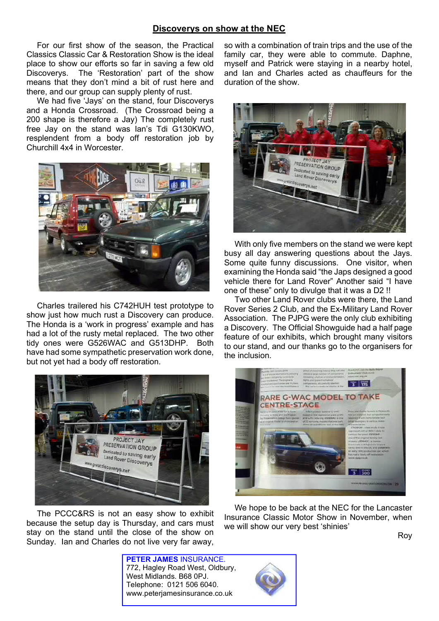#### Discoverys on show at the NEC

For our first show of the season, the Practical Classics Classic Car & Restoration Show is the ideal place to show our efforts so far in saving a few old Discoverys. The 'Restoration' part of the show means that they don't mind a bit of rust here and there, and our group can supply plenty of rust.

We had five 'Jays' on the stand, four Discoverys and a Honda Crossroad. (The Crossroad being a 200 shape is therefore a Jay) The completely rust free Jay on the stand was Ian's Tdi G130KWO, resplendent from a body off restoration job by Churchill 4x4 in Worcester.



Charles trailered his C742HUH test prototype to show just how much rust a Discovery can produce. The Honda is a 'work in progress' example and has had a lot of the rusty metal replaced. The two other tidy ones were G526WAC and G513DHP. Both have had some sympathetic preservation work done, but not yet had a body off restoration.



The PCCC&RS is not an easy show to exhibit because the setup day is Thursday, and cars must stay on the stand until the close of the show on Sunday. Ian and Charles do not live very far away,

so with a combination of train trips and the use of the family car, they were able to commute. Daphne, myself and Patrick were staying in a nearby hotel, and Ian and Charles acted as chauffeurs for the duration of the show.



With only five members on the stand we were kept busy all day answering questions about the Jays. Some quite funny discussions. One visitor, when examining the Honda said "the Japs designed a good vehicle there for Land Rover" Another said "I have one of these" only to divulge that it was a D2 !!

Two other Land Rover clubs were there, the Land Rover Series 2 Club, and the Ex-Military Land Rover Association. The PJPG were the only club exhibiting a Discovery. The Official Showguide had a half page feature of our exhibits, which brought many visitors to our stand, and our thanks go to the organisers for the inclusion.



We hope to be back at the NEC for the Lancaster Insurance Classic Motor Show in November, when we will show our very best 'shinies'

Roy

PETER JAMES INSURANCE. 772, Hagley Road West, Oldbury, West Midlands. B68 0PJ. Telephone: 0121 506 6040. www.peterjamesinsurance.co.uk

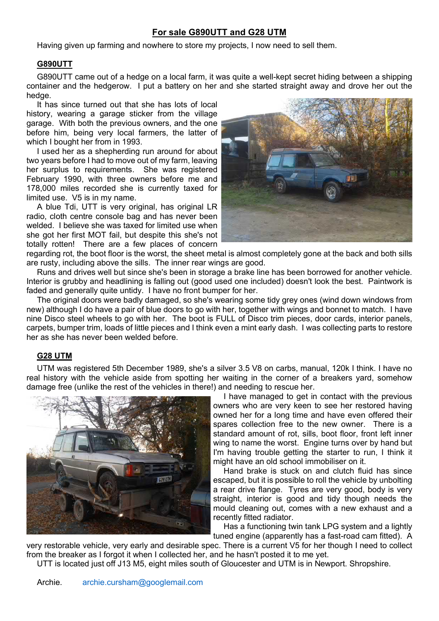# For sale G890UTT and G28 UTM

Having given up farming and nowhere to store my projects, I now need to sell them.

#### G890UTT

G890UTT came out of a hedge on a local farm, it was quite a well-kept secret hiding between a shipping container and the hedgerow. I put a battery on her and she started straight away and drove her out the hedge.

It has since turned out that she has lots of local history, wearing a garage sticker from the village garage. With both the previous owners, and the one before him, being very local farmers, the latter of which I bought her from in 1993.

I used her as a shepherding run around for about two years before I had to move out of my farm, leaving her surplus to requirements. She was registered February 1990, with three owners before me and 178,000 miles recorded she is currently taxed for limited use. V5 is in my name.

A blue Tdi, UTT is very original, has original LR radio, cloth centre console bag and has never been welded. I believe she was taxed for limited use when she got her first MOT fail, but despite this she's not totally rotten! There are a few places of concern



regarding rot, the boot floor is the worst, the sheet metal is almost completely gone at the back and both sills are rusty, including above the sills. The inner rear wings are good.

Runs and drives well but since she's been in storage a brake line has been borrowed for another vehicle. Interior is grubby and headlining is falling out (good used one included) doesn't look the best. Paintwork is faded and generally quite untidy. I have no front bumper for her.

The original doors were badly damaged, so she's wearing some tidy grey ones (wind down windows from new) although I do have a pair of blue doors to go with her, together with wings and bonnet to match. I have nine Disco steel wheels to go with her. The boot is FULL of Disco trim pieces, door cards, interior panels, carpets, bumper trim, loads of little pieces and I think even a mint early dash. I was collecting parts to restore her as she has never been welded before.

#### G28 UTM

UTM was registered 5th December 1989, she's a silver 3.5 V8 on carbs, manual, 120k I think. I have no real history with the vehicle aside from spotting her waiting in the corner of a breakers yard, somehow damage free (unlike the rest of the vehicles in there!) and needing to rescue her.



I have managed to get in contact with the previous owners who are very keen to see her restored having owned her for a long time and have even offered their spares collection free to the new owner. There is a standard amount of rot, sills, boot floor, front left inner wing to name the worst. Engine turns over by hand but I'm having trouble getting the starter to run, I think it might have an old school immobiliser on it.

Hand brake is stuck on and clutch fluid has since escaped, but it is possible to roll the vehicle by unbolting a rear drive flange. Tyres are very good, body is very straight, interior is good and tidy though needs the mould cleaning out, comes with a new exhaust and a recently fitted radiator.

Has a functioning twin tank LPG system and a lightly tuned engine (apparently has a fast-road cam fitted). A

very restorable vehicle, very early and desirable spec. There is a current V5 for her though I need to collect from the breaker as I forgot it when I collected her, and he hasn't posted it to me yet.

UTT is located just off J13 M5, eight miles south of Gloucester and UTM is in Newport. Shropshire.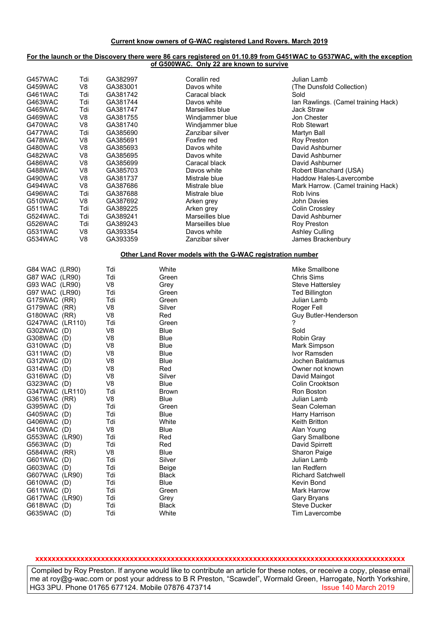#### Current know owners of G-WAC registered Land Rovers. March 2019

#### For the launch or the Discovery there were 86 cars registered on 01.10.89 from G451WAC to G537WAC, with the exception of G500WAC. Only 22 are known to survive

| G457WAC<br>Tdi<br>G459WAC<br>V8<br>Tdi<br>G461WAC<br>G463WAC<br>Tdi<br>Tdi<br>G465WAC<br>V8<br>G469WAC<br>V8<br>G470WAC<br>Tdi<br>G477WAC<br>V8<br>G478WAC<br>V <sub>8</sub><br>G480WAC<br>V <sub>8</sub><br>G482WAC<br>V <sub>8</sub><br>G486WAC<br>G488WAC<br>V8<br>V <sub>8</sub><br>G490WAC                                                                                                                                                                                                                                               | GA382997<br>GA383001<br>GA381742<br>GA381744<br>GA381747<br>GA381755<br>GA381740<br>GA385690<br>GA385691<br>GA385693<br>GA385695<br>GA385699<br>GA385703<br>GA381737                                                                                                                                                  | Corallin red<br>Davos white<br>Caracal black<br>Davos white<br>Marseilles blue<br>Windjammer blue<br>Windjammer blue<br>Zanzibar silver<br>Foxfire red<br>Davos white<br>Davos white<br>Caracal black<br>Davos white<br>Mistrale blue                                                                                                              | Julian Lamb<br>(The Dunsfold Collection)<br>Sold<br>Ian Rawlings. (Camel training Hack)<br><b>Jack Straw</b><br>Jon Chester<br><b>Rob Stewart</b><br>Martyn Ball<br>Roy Preston<br>David Ashburner<br>David Ashburner<br>David Ashburner<br>Robert Blanchard (USA)<br>Haddow Hales-Lavercombe                                                                                                                                                                                                                                                                                             |  |
|-----------------------------------------------------------------------------------------------------------------------------------------------------------------------------------------------------------------------------------------------------------------------------------------------------------------------------------------------------------------------------------------------------------------------------------------------------------------------------------------------------------------------------------------------|-----------------------------------------------------------------------------------------------------------------------------------------------------------------------------------------------------------------------------------------------------------------------------------------------------------------------|----------------------------------------------------------------------------------------------------------------------------------------------------------------------------------------------------------------------------------------------------------------------------------------------------------------------------------------------------|-------------------------------------------------------------------------------------------------------------------------------------------------------------------------------------------------------------------------------------------------------------------------------------------------------------------------------------------------------------------------------------------------------------------------------------------------------------------------------------------------------------------------------------------------------------------------------------------|--|
| V <sub>8</sub><br>G494WAC<br>Tdi<br>G496WAC<br>V8<br>G510WAC<br>Tdi<br>G511WAC<br>G524WAC.<br>Tdi<br>G526WAC<br>Tdi<br>V8<br>G531WAC<br>V <sub>8</sub><br>G534WAC                                                                                                                                                                                                                                                                                                                                                                             | GA387686<br>GA387688<br>GA387692<br>GA389225<br>GA389241<br>GA389243<br>GA393354<br>GA393359                                                                                                                                                                                                                          | Mistrale blue<br>Mistrale blue<br>Arken grey<br>Arken grey<br>Marseilles blue<br>Marseilles blue<br>Davos white<br>Zanzibar silver                                                                                                                                                                                                                 | Mark Harrow. (Camel training Hack)<br>Rob Ivins<br><b>John Davies</b><br>Colin Crossley<br>David Ashburner<br><b>Roy Preston</b><br><b>Ashley Culling</b><br>James Brackenbury                                                                                                                                                                                                                                                                                                                                                                                                            |  |
|                                                                                                                                                                                                                                                                                                                                                                                                                                                                                                                                               |                                                                                                                                                                                                                                                                                                                       |                                                                                                                                                                                                                                                                                                                                                    | Other Land Rover models with the G-WAC registration number                                                                                                                                                                                                                                                                                                                                                                                                                                                                                                                                |  |
| G84 WAC (LR90)<br>G87 WAC (LR90)<br>G93 WAC (LR90)<br>G97 WAC (LR90)<br>G175WAC (RR)<br>G179WAC (RR)<br>G180WAC (RR)<br>G247WAC (LR110)<br>G302WAC (D)<br>G308WAC (D)<br>G310WAC (D)<br>G311WAC (D)<br>G312WAC (D)<br>G314WAC (D)<br>G316WAC (D)<br>G323WAC (D)<br>G347WAC (LR110)<br>G361WAC (RR)<br>G395WAC (D)<br>G405WAC (D)<br>G406WAC (D)<br>G410WAC (D)<br>G553WAC (LR90)<br>G563WAC (D)<br>G584WAC (RR)<br>G601WAC (D)<br>G603WAC (D)<br>G607WAC (LR90)<br>G610WAC (D)<br>G611WAC (D)<br>G617WAC (LR90)<br>G618WAC (D)<br>G635WAC (D) | Tdi<br>Tdi<br>V <sub>8</sub><br>Tdi<br>Tdi<br>V8<br>V <sub>8</sub><br>Tdi<br>V8<br>V8<br>V <sub>8</sub><br>V <sub>8</sub><br>V8<br>V <sub>8</sub><br>V8<br>V8<br>Tdi<br>V <sub>8</sub><br>Tdi<br>Tdi<br>Tdi<br>V <sub>8</sub><br>Tdi<br>Tdi<br>V <sub>8</sub><br>Tdi<br>Tdi<br>Tdi<br>Tdi<br>Tdi<br>Tdi<br>Tdi<br>Tdi | White<br>Green<br>Grey<br>Green<br>Green<br>Silver<br>Red<br>Green<br><b>Blue</b><br>Blue<br><b>Blue</b><br><b>Blue</b><br><b>Blue</b><br>Red<br>Silver<br>Blue<br><b>Brown</b><br>Blue<br>Green<br><b>Blue</b><br>White<br><b>Blue</b><br>Red<br>Red<br><b>Blue</b><br>Silver<br>Beige<br><b>Black</b><br>Blue<br>Green<br>Grey<br>Black<br>White | Mike Smallbone<br><b>Chris Sims</b><br>Steve Hattersley<br><b>Ted Billington</b><br>Julian Lamb<br>Roger Fell<br>Guy Butler-Henderson<br>?<br>Sold<br>Robin Gray<br>Mark Simpson<br>Ivor Ramsden<br>Jochen Baldamus<br>Owner not known<br>David Maingot<br><b>Colin Crooktson</b><br>Ron Boston<br>Julian Lamb<br>Sean Coleman<br>Harry Harrison<br>Keith Britton<br>Alan Young<br>Gary Smallbone<br>David Spirrett<br>Sharon Paige<br>Julian Lamb<br>lan Redfern<br><b>Richard Satchwell</b><br>Kevin Bond<br><b>Mark Harrow</b><br>Gary Bryans<br><b>Steve Ducker</b><br>Tim Lavercombe |  |

#### xxxxxxxxxxxxxxxxxxxxxxxxxxxxxxxxxxxxxxxxxxxxxxxxxxxxxxxxxxxxxxxxxxxxxxxxxxxxxxxxxxxxxxxxxx

Compiled by Roy Preston. If anyone would like to contribute an article for these notes, or receive a copy, please email me at roy@g-wac.com or post your address to B R Preston, "Scawdel", Wormald Green, Harrogate, North Yorkshire,<br>HG3 3PU. Phone 01765 677124. Mobile 07876 473714 HG3 3PU. Phone 01765 677124. Mobile 07876 473714